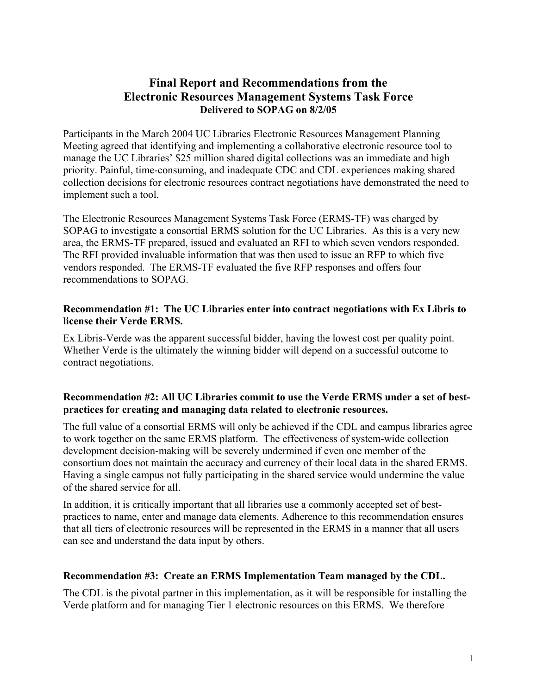# **Final Report and Recommendations from the Electronic Resources Management Systems Task Force Delivered to SOPAG on 8/2/05**

Participants in the March 2004 UC Libraries Electronic Resources Management Planning Meeting agreed that identifying and implementing a collaborative electronic resource tool to manage the UC Libraries' \$25 million shared digital collections was an immediate and high priority. Painful, time-consuming, and inadequate CDC and CDL experiences making shared collection decisions for electronic resources contract negotiations have demonstrated the need to implement such a tool.

The Electronic Resources Management Systems Task Force (ERMS-TF) was charged by SOPAG to investigate a consortial ERMS solution for the UC Libraries. As this is a very new area, the ERMS-TF prepared, issued and evaluated an RFI to which seven vendors responded. The RFI provided invaluable information that was then used to issue an RFP to which five vendors responded. The ERMS-TF evaluated the five RFP responses and offers four recommendations to SOPAG.

#### **Recommendation #1: The UC Libraries enter into contract negotiations with Ex Libris to license their Verde ERMS.**

Ex Libris-Verde was the apparent successful bidder, having the lowest cost per quality point. Whether Verde is the ultimately the winning bidder will depend on a successful outcome to contract negotiations.

#### **Recommendation #2: All UC Libraries commit to use the Verde ERMS under a set of bestpractices for creating and managing data related to electronic resources.**

The full value of a consortial ERMS will only be achieved if the CDL and campus libraries agree to work together on the same ERMS platform. The effectiveness of system-wide collection development decision-making will be severely undermined if even one member of the consortium does not maintain the accuracy and currency of their local data in the shared ERMS. Having a single campus not fully participating in the shared service would undermine the value of the shared service for all.

In addition, it is critically important that all libraries use a commonly accepted set of bestpractices to name, enter and manage data elements. Adherence to this recommendation ensures that all tiers of electronic resources will be represented in the ERMS in a manner that all users can see and understand the data input by others.

## **Recommendation #3: Create an ERMS Implementation Team managed by the CDL.**

The CDL is the pivotal partner in this implementation, as it will be responsible for installing the Verde platform and for managing Tier 1 electronic resources on this ERMS. We therefore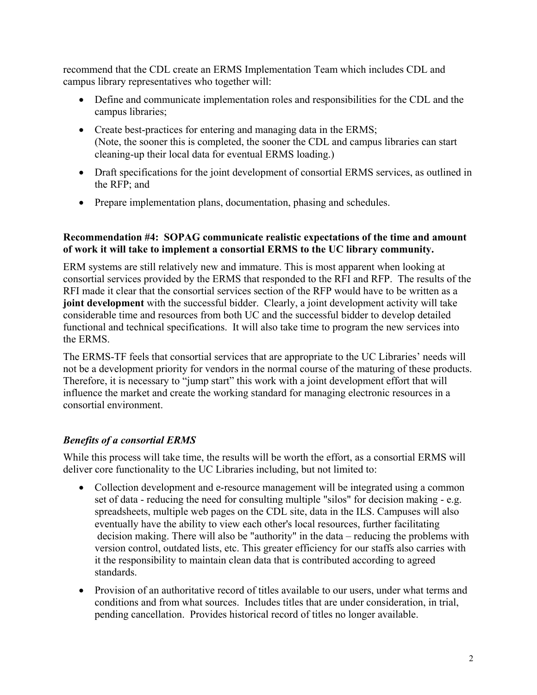recommend that the CDL create an ERMS Implementation Team which includes CDL and campus library representatives who together will:

- Define and communicate implementation roles and responsibilities for the CDL and the campus libraries;
- Create best-practices for entering and managing data in the ERMS; (Note, the sooner this is completed, the sooner the CDL and campus libraries can start cleaning-up their local data for eventual ERMS loading.)
- Draft specifications for the joint development of consortial ERMS services, as outlined in the RFP; and
- Prepare implementation plans, documentation, phasing and schedules.

## **Recommendation #4: SOPAG communicate realistic expectations of the time and amount of work it will take to implement a consortial ERMS to the UC library community.**

ERM systems are still relatively new and immature. This is most apparent when looking at consortial services provided by the ERMS that responded to the RFI and RFP. The results of the RFI made it clear that the consortial services section of the RFP would have to be written as a **joint development** with the successful bidder. Clearly, a joint development activity will take considerable time and resources from both UC and the successful bidder to develop detailed functional and technical specifications. It will also take time to program the new services into the ERMS.

The ERMS-TF feels that consortial services that are appropriate to the UC Libraries' needs will not be a development priority for vendors in the normal course of the maturing of these products. Therefore, it is necessary to "jump start" this work with a joint development effort that will influence the market and create the working standard for managing electronic resources in a consortial environment.

# *Benefits of a consortial ERMS*

While this process will take time, the results will be worth the effort, as a consortial ERMS will deliver core functionality to the UC Libraries including, but not limited to:

- Collection development and e-resource management will be integrated using a common set of data - reducing the need for consulting multiple "silos" for decision making - e.g. spreadsheets, multiple web pages on the CDL site, data in the ILS. Campuses will also eventually have the ability to view each other's local resources, further facilitating decision making. There will also be "authority" in the data – reducing the problems with version control, outdated lists, etc. This greater efficiency for our staffs also carries with it the responsibility to maintain clean data that is contributed according to agreed standards.
- Provision of an authoritative record of titles available to our users, under what terms and conditions and from what sources. Includes titles that are under consideration, in trial, pending cancellation. Provides historical record of titles no longer available.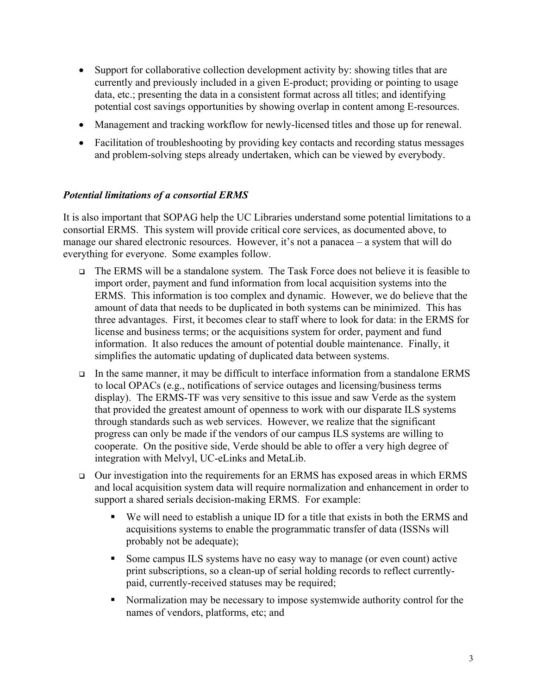- Support for collaborative collection development activity by: showing titles that are currently and previously included in a given E-product; providing or pointing to usage data, etc.; presenting the data in a consistent format across all titles; and identifying potential cost savings opportunities by showing overlap in content among E-resources.
- Management and tracking workflow for newly-licensed titles and those up for renewal.
- Facilitation of troubleshooting by providing key contacts and recording status messages and problem-solving steps already undertaken, which can be viewed by everybody.

## *Potential limitations of a consortial ERMS*

It is also important that SOPAG help the UC Libraries understand some potential limitations to a consortial ERMS. This system will provide critical core services, as documented above, to manage our shared electronic resources. However, it's not a panacea – a system that will do everything for everyone. Some examples follow.

- The ERMS will be a standalone system. The Task Force does not believe it is feasible to import order, payment and fund information from local acquisition systems into the ERMS. This information is too complex and dynamic. However, we do believe that the amount of data that needs to be duplicated in both systems can be minimized. This has three advantages. First, it becomes clear to staff where to look for data: in the ERMS for license and business terms; or the acquisitions system for order, payment and fund information. It also reduces the amount of potential double maintenance. Finally, it simplifies the automatic updating of duplicated data between systems.
- In the same manner, it may be difficult to interface information from a standalone ERMS to local OPACs (e.g., notifications of service outages and licensing/business terms display). The ERMS-TF was very sensitive to this issue and saw Verde as the system that provided the greatest amount of openness to work with our disparate ILS systems through standards such as web services. However, we realize that the significant progress can only be made if the vendors of our campus ILS systems are willing to cooperate. On the positive side, Verde should be able to offer a very high degree of integration with Melvyl, UC-eLinks and MetaLib.
- $\Box$  Our investigation into the requirements for an ERMS has exposed areas in which ERMS and local acquisition system data will require normalization and enhancement in order to support a shared serials decision-making ERMS. For example:
	- We will need to establish a unique ID for a title that exists in both the ERMS and acquisitions systems to enable the programmatic transfer of data (ISSNs will probably not be adequate);
	- Some campus ILS systems have no easy way to manage (or even count) active print subscriptions, so a clean-up of serial holding records to reflect currentlypaid, currently-received statuses may be required;
	- Normalization may be necessary to impose systemwide authority control for the names of vendors, platforms, etc; and